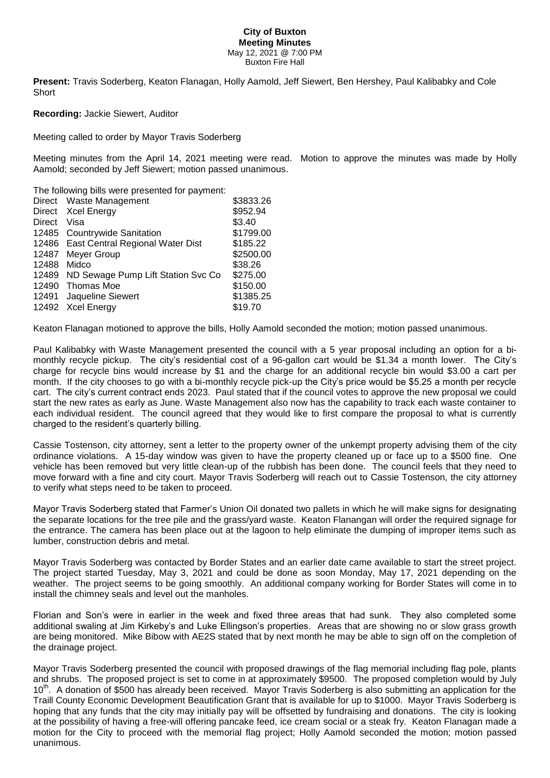## **City of Buxton Meeting Minutes** May 12, 2021 @ 7:00 PM Buxton Fire Hall

**Present:** Travis Soderberg, Keaton Flanagan, Holly Aamold, Jeff Siewert, Ben Hershey, Paul Kalibabky and Cole **Short** 

**Recording:** Jackie Siewert, Auditor

Meeting called to order by Mayor Travis Soderberg

Meeting minutes from the April 14, 2021 meeting were read. Motion to approve the minutes was made by Holly Aamold; seconded by Jeff Siewert; motion passed unanimous.

The following bills were presented for payment:

|        | Direct Waste Management                | \$3833.26 |
|--------|----------------------------------------|-----------|
|        | Direct Xcel Energy                     | \$952.94  |
| Direct | Visa                                   | \$3.40    |
|        | 12485 Countrywide Sanitation           | \$1799.00 |
|        | 12486 East Central Regional Water Dist | \$185.22  |
|        | 12487 Meyer Group                      | \$2500.00 |
| 12488  | Midco                                  | \$38.26   |
| 12489  | ND Sewage Pump Lift Station Svc Co     | \$275.00  |
|        | 12490 Thomas Moe                       | \$150.00  |
|        | 12491 Jaqueline Siewert                | \$1385.25 |
|        | 12492 Xcel Energy                      | \$19.70   |

Keaton Flanagan motioned to approve the bills, Holly Aamold seconded the motion; motion passed unanimous.

Paul Kalibabky with Waste Management presented the council with a 5 year proposal including an option for a bimonthly recycle pickup. The city's residential cost of a 96-gallon cart would be \$1.34 a month lower. The City's charge for recycle bins would increase by \$1 and the charge for an additional recycle bin would \$3.00 a cart per month. If the city chooses to go with a bi-monthly recycle pick-up the City's price would be \$5.25 a month per recycle cart. The city's current contract ends 2023. Paul stated that if the council votes to approve the new proposal we could start the new rates as early as June. Waste Management also now has the capability to track each waste container to each individual resident. The council agreed that they would like to first compare the proposal to what is currently charged to the resident's quarterly billing.

Cassie Tostenson, city attorney, sent a letter to the property owner of the unkempt property advising them of the city ordinance violations. A 15-day window was given to have the property cleaned up or face up to a \$500 fine. One vehicle has been removed but very little clean-up of the rubbish has been done. The council feels that they need to move forward with a fine and city court. Mayor Travis Soderberg will reach out to Cassie Tostenson, the city attorney to verify what steps need to be taken to proceed.

Mayor Travis Soderberg stated that Farmer's Union Oil donated two pallets in which he will make signs for designating the separate locations for the tree pile and the grass/yard waste. Keaton Flanangan will order the required signage for the entrance. The camera has been place out at the lagoon to help eliminate the dumping of improper items such as lumber, construction debris and metal.

Mayor Travis Soderberg was contacted by Border States and an earlier date came available to start the street project. The project started Tuesday, May 3, 2021 and could be done as soon Monday, May 17, 2021 depending on the weather. The project seems to be going smoothly. An additional company working for Border States will come in to install the chimney seals and level out the manholes.

Florian and Son's were in earlier in the week and fixed three areas that had sunk. They also completed some additional swaling at Jim Kirkeby's and Luke Ellingson's properties. Areas that are showing no or slow grass growth are being monitored. Mike Bibow with AE2S stated that by next month he may be able to sign off on the completion of the drainage project.

Mayor Travis Soderberg presented the council with proposed drawings of the flag memorial including flag pole, plants and shrubs. The proposed project is set to come in at approximately \$9500. The proposed completion would by July 10<sup>th</sup>. A donation of \$500 has already been received. Mayor Travis Soderberg is also submitting an application for the Traill County Economic Development Beautification Grant that is available for up to \$1000. Mayor Travis Soderberg is hoping that any funds that the city may initially pay will be offsetted by fundraising and donations. The city is looking at the possibility of having a free-will offering pancake feed, ice cream social or a steak fry. Keaton Flanagan made a motion for the City to proceed with the memorial flag project; Holly Aamold seconded the motion; motion passed unanimous.